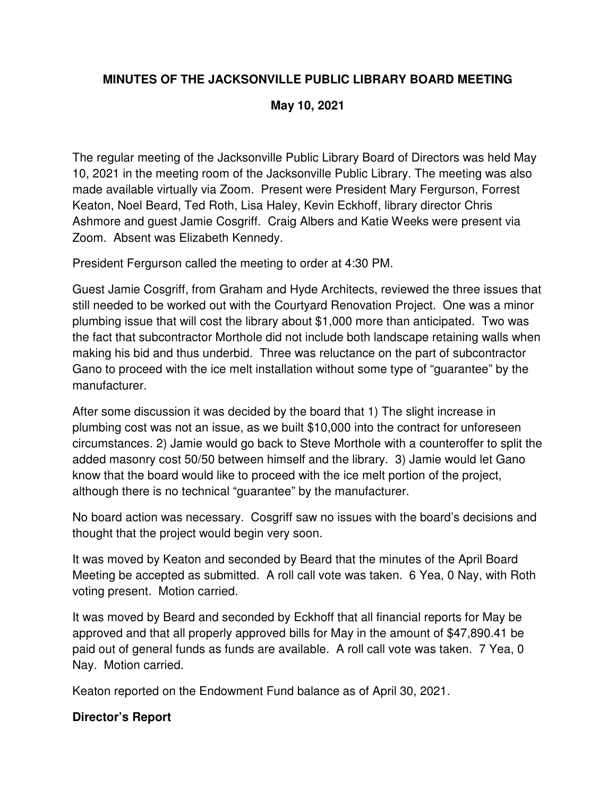## **MINUTES OF THE JACKSONVILLE PUBLIC LIBRARY BOARD MEETING**

### **May 10, 2021**

The regular meeting of the Jacksonville Public Library Board of Directors was held May 10, 2021 in the meeting room of the Jacksonville Public Library. The meeting was also made available virtually via Zoom. Present were President Mary Fergurson, Forrest Keaton, Noel Beard, Ted Roth, Lisa Haley, Kevin Eckhoff, library director Chris Ashmore and guest Jamie Cosgriff. Craig Albers and Katie Weeks were present via Zoom. Absent was Elizabeth Kennedy.

President Fergurson called the meeting to order at 4:30 PM.

Guest Jamie Cosgriff, from Graham and Hyde Architects, reviewed the three issues that still needed to be worked out with the Courtyard Renovation Project. One was a minor plumbing issue that will cost the library about \$1,000 more than anticipated. Two was the fact that subcontractor Morthole did not include both landscape retaining walls when making his bid and thus underbid. Three was reluctance on the part of subcontractor Gano to proceed with the ice melt installation without some type of "guarantee" by the manufacturer.

After some discussion it was decided by the board that 1) The slight increase in plumbing cost was not an issue, as we built \$10,000 into the contract for unforeseen circumstances. 2) Jamie would go back to Steve Morthole with a counteroffer to split the added masonry cost 50/50 between himself and the library. 3) Jamie would let Gano know that the board would like to proceed with the ice melt portion of the project, although there is no technical "guarantee" by the manufacturer.

No board action was necessary. Cosgriff saw no issues with the board's decisions and thought that the project would begin very soon.

It was moved by Keaton and seconded by Beard that the minutes of the April Board Meeting be accepted as submitted. A roll call vote was taken. 6 Yea, 0 Nay, with Roth voting present. Motion carried.

It was moved by Beard and seconded by Eckhoff that all financial reports for May be approved and that all properly approved bills for May in the amount of \$47,890.41 be paid out of general funds as funds are available. A roll call vote was taken. 7 Yea, 0 Nay. Motion carried.

Keaton reported on the Endowment Fund balance as of April 30, 2021.

### **Director's Report**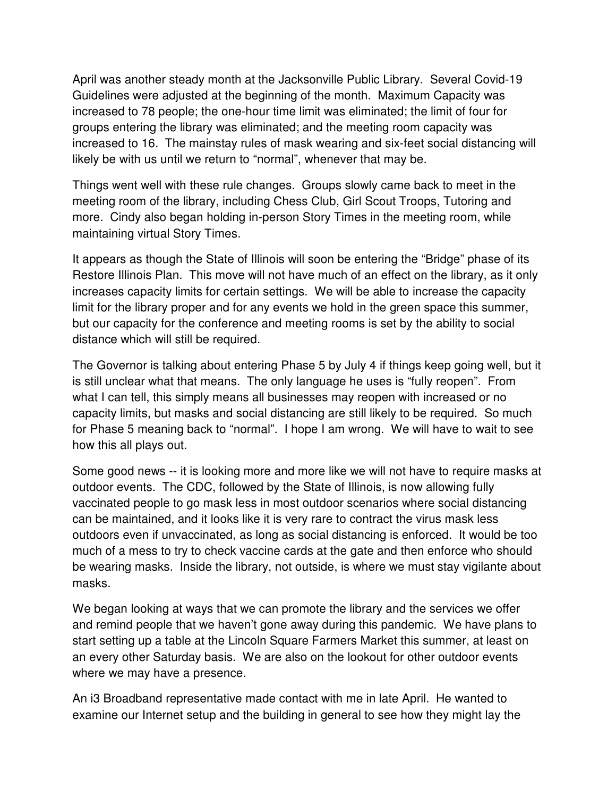April was another steady month at the Jacksonville Public Library. Several Covid-19 Guidelines were adjusted at the beginning of the month. Maximum Capacity was increased to 78 people; the one-hour time limit was eliminated; the limit of four for groups entering the library was eliminated; and the meeting room capacity was increased to 16. The mainstay rules of mask wearing and six-feet social distancing will likely be with us until we return to "normal", whenever that may be.

Things went well with these rule changes. Groups slowly came back to meet in the meeting room of the library, including Chess Club, Girl Scout Troops, Tutoring and more. Cindy also began holding in-person Story Times in the meeting room, while maintaining virtual Story Times.

It appears as though the State of Illinois will soon be entering the "Bridge" phase of its Restore Illinois Plan. This move will not have much of an effect on the library, as it only increases capacity limits for certain settings. We will be able to increase the capacity limit for the library proper and for any events we hold in the green space this summer, but our capacity for the conference and meeting rooms is set by the ability to social distance which will still be required.

The Governor is talking about entering Phase 5 by July 4 if things keep going well, but it is still unclear what that means. The only language he uses is "fully reopen". From what I can tell, this simply means all businesses may reopen with increased or no capacity limits, but masks and social distancing are still likely to be required. So much for Phase 5 meaning back to "normal". I hope I am wrong. We will have to wait to see how this all plays out.

Some good news -- it is looking more and more like we will not have to require masks at outdoor events. The CDC, followed by the State of Illinois, is now allowing fully vaccinated people to go mask less in most outdoor scenarios where social distancing can be maintained, and it looks like it is very rare to contract the virus mask less outdoors even if unvaccinated, as long as social distancing is enforced. It would be too much of a mess to try to check vaccine cards at the gate and then enforce who should be wearing masks. Inside the library, not outside, is where we must stay vigilante about masks.

We began looking at ways that we can promote the library and the services we offer and remind people that we haven't gone away during this pandemic. We have plans to start setting up a table at the Lincoln Square Farmers Market this summer, at least on an every other Saturday basis. We are also on the lookout for other outdoor events where we may have a presence.

An i3 Broadband representative made contact with me in late April. He wanted to examine our Internet setup and the building in general to see how they might lay the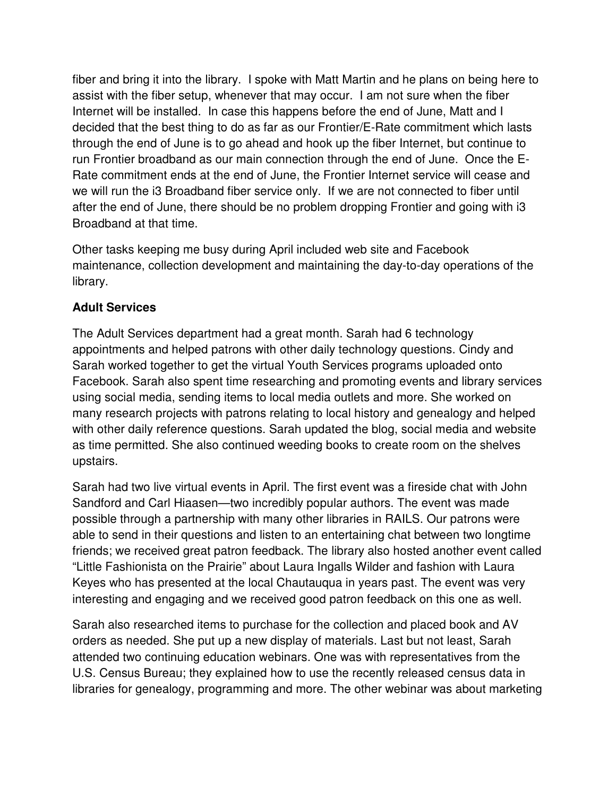fiber and bring it into the library. I spoke with Matt Martin and he plans on being here to assist with the fiber setup, whenever that may occur. I am not sure when the fiber Internet will be installed. In case this happens before the end of June, Matt and I decided that the best thing to do as far as our Frontier/E-Rate commitment which lasts through the end of June is to go ahead and hook up the fiber Internet, but continue to run Frontier broadband as our main connection through the end of June. Once the E-Rate commitment ends at the end of June, the Frontier Internet service will cease and we will run the i3 Broadband fiber service only. If we are not connected to fiber until after the end of June, there should be no problem dropping Frontier and going with i3 Broadband at that time.

Other tasks keeping me busy during April included web site and Facebook maintenance, collection development and maintaining the day-to-day operations of the library.

### **Adult Services**

The Adult Services department had a great month. Sarah had 6 technology appointments and helped patrons with other daily technology questions. Cindy and Sarah worked together to get the virtual Youth Services programs uploaded onto Facebook. Sarah also spent time researching and promoting events and library services using social media, sending items to local media outlets and more. She worked on many research projects with patrons relating to local history and genealogy and helped with other daily reference questions. Sarah updated the blog, social media and website as time permitted. She also continued weeding books to create room on the shelves upstairs.

Sarah had two live virtual events in April. The first event was a fireside chat with John Sandford and Carl Hiaasen—two incredibly popular authors. The event was made possible through a partnership with many other libraries in RAILS. Our patrons were able to send in their questions and listen to an entertaining chat between two longtime friends; we received great patron feedback. The library also hosted another event called "Little Fashionista on the Prairie" about Laura Ingalls Wilder and fashion with Laura Keyes who has presented at the local Chautauqua in years past. The event was very interesting and engaging and we received good patron feedback on this one as well.

Sarah also researched items to purchase for the collection and placed book and AV orders as needed. She put up a new display of materials. Last but not least, Sarah attended two continuing education webinars. One was with representatives from the U.S. Census Bureau; they explained how to use the recently released census data in libraries for genealogy, programming and more. The other webinar was about marketing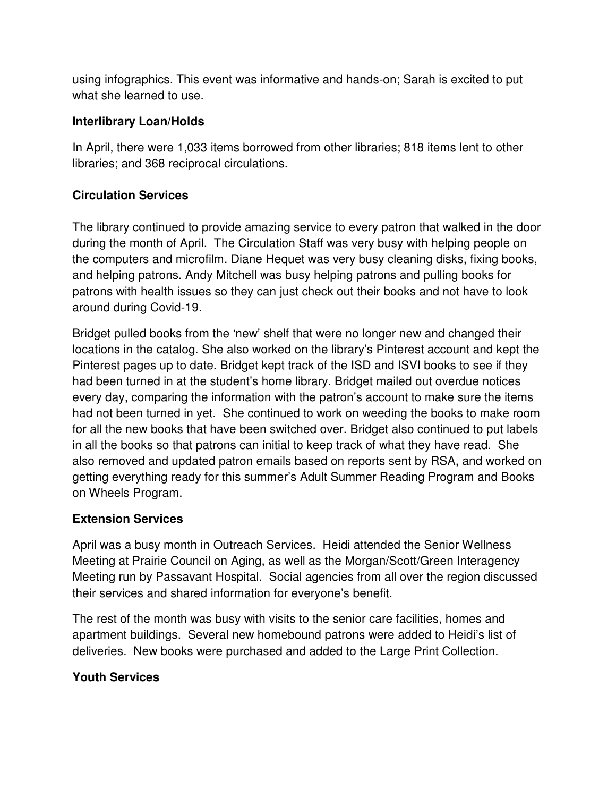using infographics. This event was informative and hands-on; Sarah is excited to put what she learned to use.

### **Interlibrary Loan/Holds**

In April, there were 1,033 items borrowed from other libraries; 818 items lent to other libraries; and 368 reciprocal circulations.

## **Circulation Services**

The library continued to provide amazing service to every patron that walked in the door during the month of April. The Circulation Staff was very busy with helping people on the computers and microfilm. Diane Hequet was very busy cleaning disks, fixing books, and helping patrons. Andy Mitchell was busy helping patrons and pulling books for patrons with health issues so they can just check out their books and not have to look around during Covid-19.

Bridget pulled books from the 'new' shelf that were no longer new and changed their locations in the catalog. She also worked on the library's Pinterest account and kept the Pinterest pages up to date. Bridget kept track of the ISD and ISVI books to see if they had been turned in at the student's home library. Bridget mailed out overdue notices every day, comparing the information with the patron's account to make sure the items had not been turned in yet. She continued to work on weeding the books to make room for all the new books that have been switched over. Bridget also continued to put labels in all the books so that patrons can initial to keep track of what they have read. She also removed and updated patron emails based on reports sent by RSA, and worked on getting everything ready for this summer's Adult Summer Reading Program and Books on Wheels Program.

## **Extension Services**

April was a busy month in Outreach Services. Heidi attended the Senior Wellness Meeting at Prairie Council on Aging, as well as the Morgan/Scott/Green Interagency Meeting run by Passavant Hospital. Social agencies from all over the region discussed their services and shared information for everyone's benefit.

The rest of the month was busy with visits to the senior care facilities, homes and apartment buildings. Several new homebound patrons were added to Heidi's list of deliveries. New books were purchased and added to the Large Print Collection.

## **Youth Services**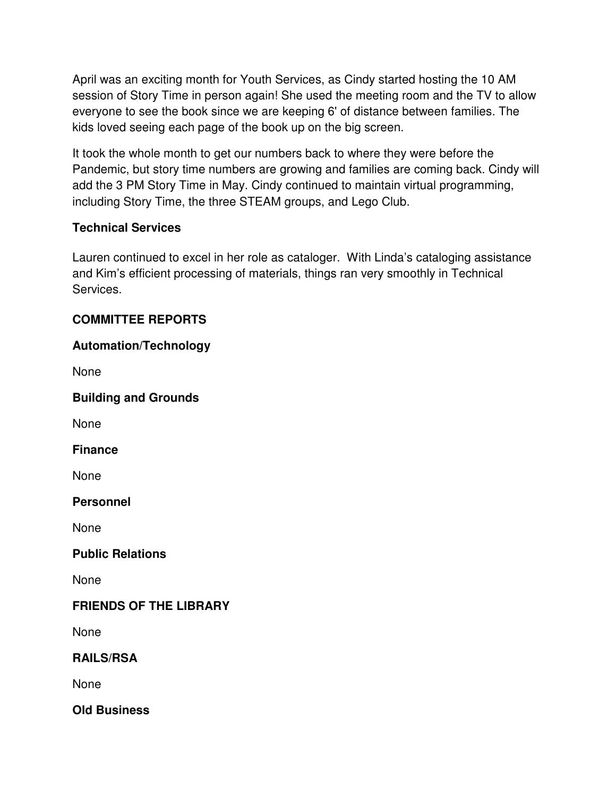April was an exciting month for Youth Services, as Cindy started hosting the 10 AM session of Story Time in person again! She used the meeting room and the TV to allow everyone to see the book since we are keeping 6' of distance between families. The kids loved seeing each page of the book up on the big screen.

It took the whole month to get our numbers back to where they were before the Pandemic, but story time numbers are growing and families are coming back. Cindy will add the 3 PM Story Time in May. Cindy continued to maintain virtual programming, including Story Time, the three STEAM groups, and Lego Club.

## **Technical Services**

Lauren continued to excel in her role as cataloger. With Linda's cataloging assistance and Kim's efficient processing of materials, things ran very smoothly in Technical Services.

# **COMMITTEE REPORTS**

# **Automation/Technology**

None

**Building and Grounds** 

None

**Finance** 

None

**Personnel** 

None

### **Public Relations**

None

## **FRIENDS OF THE LIBRARY**

None

## **RAILS/RSA**

None

**Old Business**